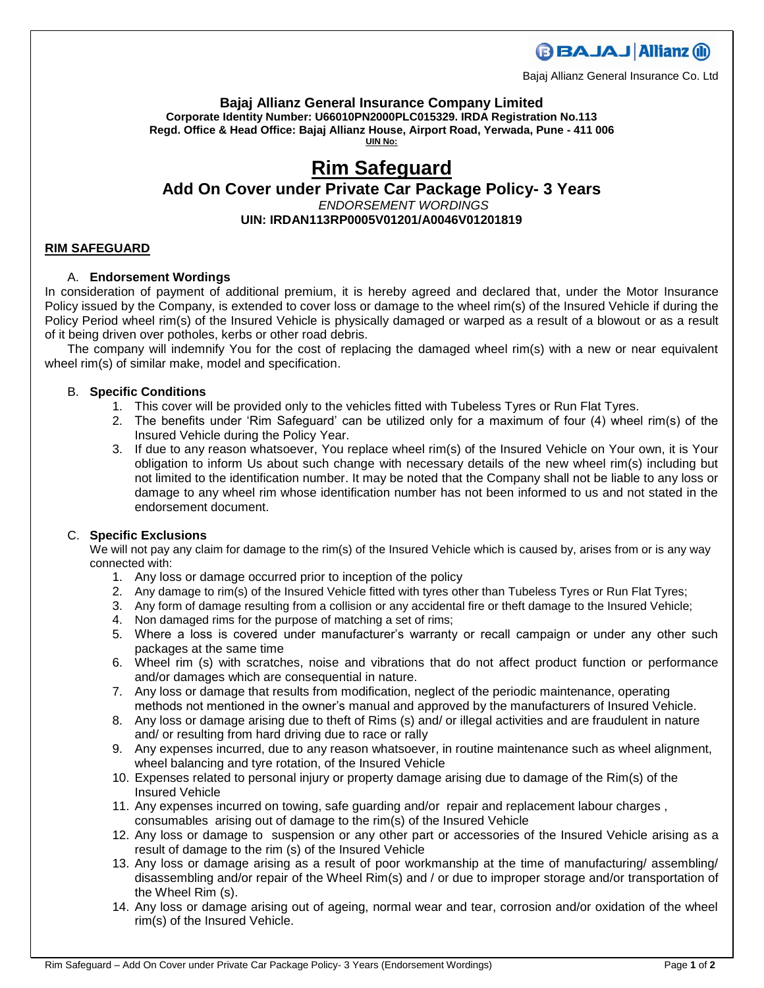**BBAJAJ Allianz (ii)** 

Bajaj Allianz General Insurance Co. Ltd

**Bajaj Allianz General Insurance Company Limited Corporate Identity Number: U66010PN2000PLC015329. IRDA Registration No.113 Regd. Office & Head Office: Bajaj Allianz House, Airport Road, Yerwada, Pune - 411 006 UIN No:**

# **Rim Safeguard**

# **Add On Cover under Private Car Package Policy- 3 Years** *ENDORSEMENT WORDINGS* **UIN: IRDAN113RP0005V01201/A0046V01201819**

## **RIM SAFEGUARD**

# A. **Endorsement Wordings**

In consideration of payment of additional premium, it is hereby agreed and declared that, under the Motor Insurance Policy issued by the Company, is extended to cover loss or damage to the wheel rim(s) of the Insured Vehicle if during the Policy Period wheel rim(s) of the Insured Vehicle is physically damaged or warped as a result of a blowout or as a result of it being driven over potholes, kerbs or other road debris.

The company will indemnify You for the cost of replacing the damaged wheel rim(s) with a new or near equivalent wheel rim(s) of similar make, model and specification.

## B. **Specific Conditions**

- 1. This cover will be provided only to the vehicles fitted with Tubeless Tyres or Run Flat Tyres.
- 2. The benefits under 'Rim Safeguard' can be utilized only for a maximum of four (4) wheel rim(s) of the Insured Vehicle during the Policy Year.
- 3. If due to any reason whatsoever, You replace wheel rim(s) of the Insured Vehicle on Your own, it is Your obligation to inform Us about such change with necessary details of the new wheel rim(s) including but not limited to the identification number. It may be noted that the Company shall not be liable to any loss or damage to any wheel rim whose identification number has not been informed to us and not stated in the endorsement document.

# C. **Specific Exclusions**

We will not pay any claim for damage to the rim(s) of the Insured Vehicle which is caused by, arises from or is any way connected with:

- 1. Any loss or damage occurred prior to inception of the policy
- 2. Any damage to rim(s) of the Insured Vehicle fitted with tyres other than Tubeless Tyres or Run Flat Tyres;
- 3. Any form of damage resulting from a collision or any accidental fire or theft damage to the Insured Vehicle;
- 4. Non damaged rims for the purpose of matching a set of rims;
- 5. Where a loss is covered under manufacturer's warranty or recall campaign or under any other such packages at the same time
- 6. Wheel rim (s) with scratches, noise and vibrations that do not affect product function or performance and/or damages which are consequential in nature.
- 7. Any loss or damage that results from modification, neglect of the periodic maintenance, operating methods not mentioned in the owner's manual and approved by the manufacturers of Insured Vehicle.
- 8. Any loss or damage arising due to theft of Rims (s) and/ or illegal activities and are fraudulent in nature and/ or resulting from hard driving due to race or rally
- 9. Any expenses incurred, due to any reason whatsoever, in routine maintenance such as wheel alignment, wheel balancing and tyre rotation, of the Insured Vehicle
- 10. Expenses related to personal injury or property damage arising due to damage of the Rim(s) of the Insured Vehicle
- 11. Any expenses incurred on towing, safe guarding and/or repair and replacement labour charges , consumables arising out of damage to the rim(s) of the Insured Vehicle
- 12. Any loss or damage to suspension or any other part or accessories of the Insured Vehicle arising as a result of damage to the rim (s) of the Insured Vehicle
- 13. Any loss or damage arising as a result of poor workmanship at the time of manufacturing/ assembling/ disassembling and/or repair of the Wheel Rim(s) and / or due to improper storage and/or transportation of the Wheel Rim (s).
- 14. Any loss or damage arising out of ageing, normal wear and tear, corrosion and/or oxidation of the wheel rim(s) of the Insured Vehicle.